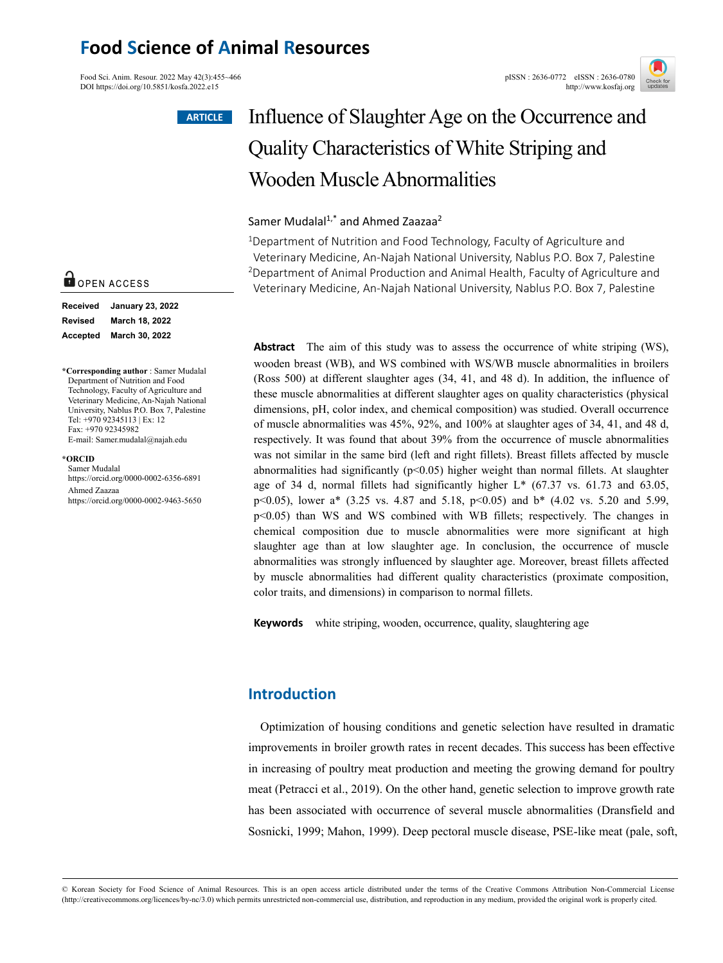## **Food Science of Animal Resources**

Food Sci. Anim. Resour. 2022 May 42(3):455~466<br>
DOI https://doi.org/10.5851/kosfa.2022.e15<br>
http://www.kosfai.org/ DOI https://doi.org/10.5851/kosfa.2022.e15

#### **ARTICLE**



# Influence of Slaughter Age on the Occurrence and Quality Characteristics of White Striping and Wooden Muscle Abnormalities

### Samer Mudalal<sup>1,\*</sup> and Ahmed Zaazaa<sup>2</sup>

<sup>1</sup>Department of Nutrition and Food Technology, Faculty of Agriculture and Veterinary Medicine, An-Najah National University, Nablus P.O. Box 7, Palestine 2Department of Animal Production and Animal Health, Faculty of Agriculture and Veterinary Medicine, An-Najah National University, Nablus P.O. Box 7, Palestine

**Abstract** The aim of this study was to assess the occurrence of white striping (WS), wooden breast (WB), and WS combined with WS/WB muscle abnormalities in broilers (Ross 500) at different slaughter ages (34, 41, and 48 d). In addition, the influence of these muscle abnormalities at different slaughter ages on quality characteristics (physical dimensions, pH, color index, and chemical composition) was studied. Overall occurrence of muscle abnormalities was 45%, 92%, and 100% at slaughter ages of 34, 41, and 48 d, respectively. It was found that about 39% from the occurrence of muscle abnormalities was not similar in the same bird (left and right fillets). Breast fillets affected by muscle abnormalities had significantly  $(p<0.05)$  higher weight than normal fillets. At slaughter age of 34 d, normal fillets had significantly higher L\* (67.37 vs. 61.73 and 63.05, p<0.05), lower a\* (3.25 vs. 4.87 and 5.18, p<0.05) and b\* (4.02 vs. 5.20 and 5.99, p<0.05) than WS and WS combined with WB fillets; respectively. The changes in chemical composition due to muscle abnormalities were more significant at high slaughter age than at low slaughter age. In conclusion, the occurrence of muscle abnormalities was strongly influenced by slaughter age. Moreover, breast fillets affected by muscle abnormalities had different quality characteristics (proximate composition, color traits, and dimensions) in comparison to normal fillets.

**Keywords** white striping, wooden, occurrence, quality, slaughtering age

## **Introduction**

Optimization of housing conditions and genetic selection have resulted in dramatic improvements in broiler growth rates in recent decades. This success has been effective in increasing of poultry meat production and meeting the growing demand for poultry meat (Petracci et al., 2019). On the other hand, genetic selection to improve growth rate has been associated with occurrence of several muscle abnormalities (Dransfield and Sosnicki, 1999; Mahon, 1999). Deep pectoral muscle disease, PSE-like meat (pale, soft,

## OPEN ACCESS

| Received        | <b>January 23, 2022</b> |
|-----------------|-------------------------|
| <b>Revised</b>  | March 18, 2022          |
| <b>Accepted</b> | March 30, 2022          |

**\*Corresponding author** : Samer Mudalal Department of Nutrition and Food Technology, Faculty of Agriculture and Veterinary Medicine, An-Najah National University, Nablus P.O. Box 7, Palestine Tel: +970 92345113 | Ex: 12 Fax: +970 92345982 E-mail: Samer.mudalal@najah.edu

#### **\*ORCID**

Samer Mudalal https://orcid.org/0000-0002-6356-6891 Ahmed Zaazaa https://orcid.org/0000-0002-9463-5650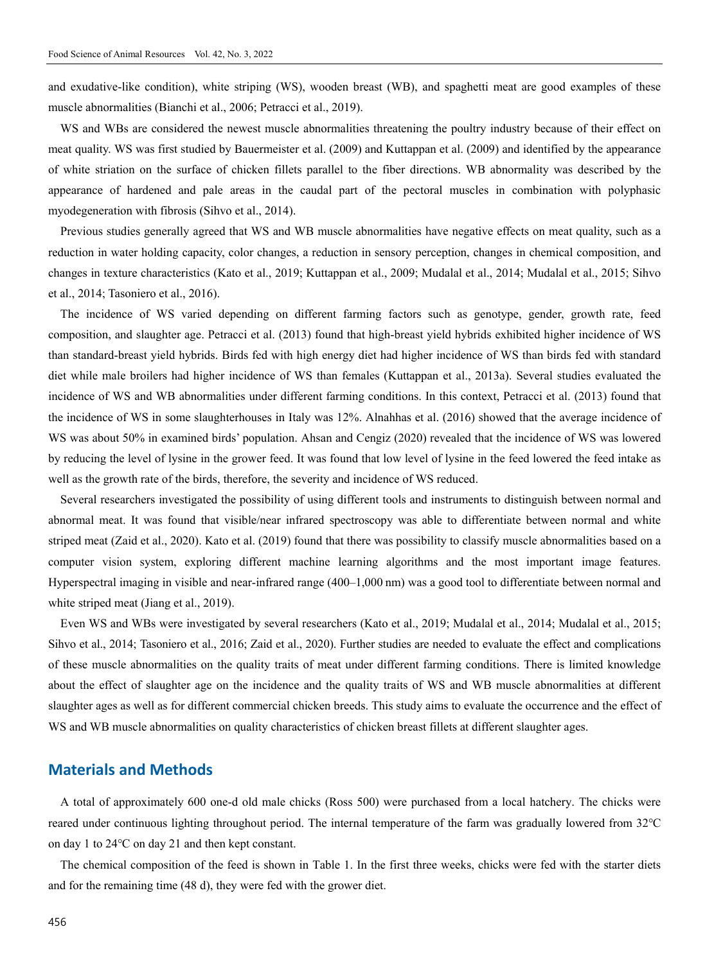and exudative-like condition), white striping (WS), wooden breast (WB), and spaghetti meat are good examples of these muscle abnormalities (Bianchi et al., 2006; Petracci et al., 2019).

WS and WBs are considered the newest muscle abnormalities threatening the poultry industry because of their effect on meat quality. WS was first studied by Bauermeister et al. (2009) and Kuttappan et al. (2009) and identified by the appearance of white striation on the surface of chicken fillets parallel to the fiber directions. WB abnormality was described by the appearance of hardened and pale areas in the caudal part of the pectoral muscles in combination with polyphasic myodegeneration with fibrosis (Sihvo et al., 2014).

Previous studies generally agreed that WS and WB muscle abnormalities have negative effects on meat quality, such as a reduction in water holding capacity, color changes, a reduction in sensory perception, changes in chemical composition, and changes in texture characteristics (Kato et al., 2019; Kuttappan et al., 2009; Mudalal et al., 2014; Mudalal et al., 2015; Sihvo et al., 2014; Tasoniero et al., 2016).

The incidence of WS varied depending on different farming factors such as genotype, gender, growth rate, feed composition, and slaughter age. Petracci et al. (2013) found that high-breast yield hybrids exhibited higher incidence of WS than standard-breast yield hybrids. Birds fed with high energy diet had higher incidence of WS than birds fed with standard diet while male broilers had higher incidence of WS than females (Kuttappan et al., 2013a). Several studies evaluated the incidence of WS and WB abnormalities under different farming conditions. In this context, Petracci et al. (2013) found that the incidence of WS in some slaughterhouses in Italy was 12%. Alnahhas et al. (2016) showed that the average incidence of WS was about 50% in examined birds' population. Ahsan and Cengiz (2020) revealed that the incidence of WS was lowered by reducing the level of lysine in the grower feed. It was found that low level of lysine in the feed lowered the feed intake as well as the growth rate of the birds, therefore, the severity and incidence of WS reduced.

Several researchers investigated the possibility of using different tools and instruments to distinguish between normal and abnormal meat. It was found that visible/near infrared spectroscopy was able to differentiate between normal and white striped meat (Zaid et al., 2020). Kato et al. (2019) found that there was possibility to classify muscle abnormalities based on a computer vision system, exploring different machine learning algorithms and the most important image features. Hyperspectral imaging in visible and near-infrared range (400–1,000 nm) was a good tool to differentiate between normal and white striped meat (Jiang et al., 2019).

Even WS and WBs were investigated by several researchers (Kato et al., 2019; Mudalal et al., 2014; Mudalal et al., 2015; Sihvo et al., 2014; Tasoniero et al., 2016; Zaid et al., 2020). Further studies are needed to evaluate the effect and complications of these muscle abnormalities on the quality traits of meat under different farming conditions. There is limited knowledge about the effect of slaughter age on the incidence and the quality traits of WS and WB muscle abnormalities at different slaughter ages as well as for different commercial chicken breeds. This study aims to evaluate the occurrence and the effect of WS and WB muscle abnormalities on quality characteristics of chicken breast fillets at different slaughter ages.

### **Materials and Methods**

A total of approximately 600 one-d old male chicks (Ross 500) were purchased from a local hatchery. The chicks were reared under continuous lighting throughout period. The internal temperature of the farm was gradually lowered from 32℃ on day 1 to 24℃ on day 21 and then kept constant.

The chemical composition of the feed is shown in Table 1. In the first three weeks, chicks were fed with the starter diets and for the remaining time (48 d), they were fed with the grower diet.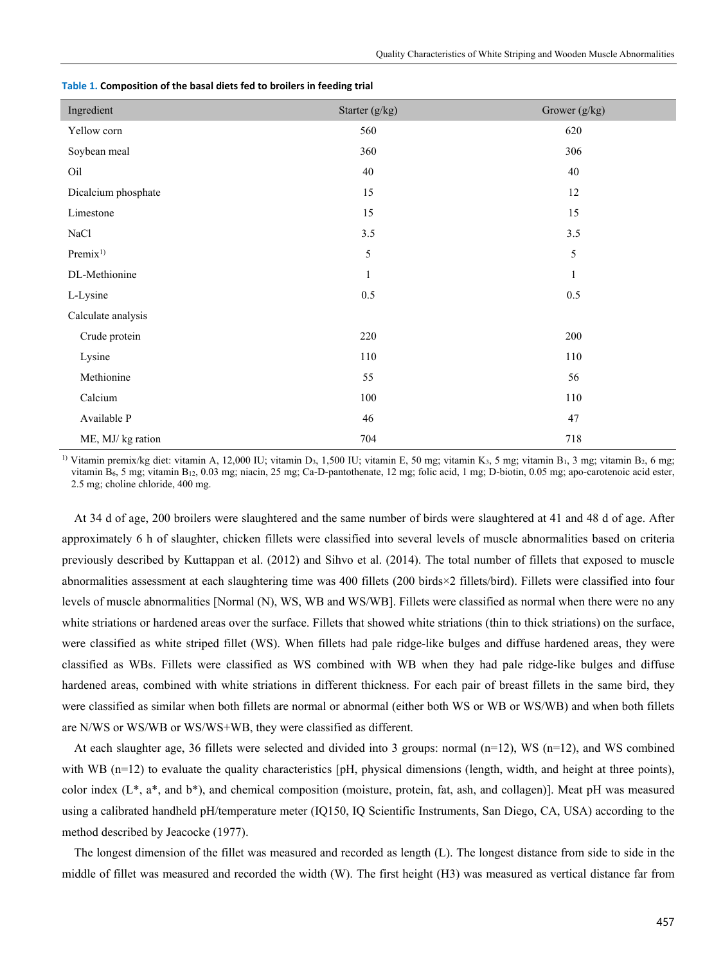| Ingredient          | Starter (g/kg) | Grower (g/kg) |
|---------------------|----------------|---------------|
| Yellow corn         | 560            | 620           |
| Soybean meal        | 360            | 306           |
| Oil                 | 40             | $40\,$        |
| Dicalcium phosphate | 15             | 12            |
| Limestone           | 15             | 15            |
| NaCl                | 3.5            | 3.5           |
| Premix <sup>1</sup> | 5              | 5             |
| DL-Methionine       | $\mathbf{1}$   | $\mathbf{1}$  |
| L-Lysine            | 0.5            | $0.5\,$       |
| Calculate analysis  |                |               |
| Crude protein       | 220            | 200           |
| Lysine              | $110\,$        | 110           |
| Methionine          | 55             | 56            |
| Calcium             | $100\,$        | 110           |
| Available P         | 46             | $47\,$        |
| ME, MJ/kg ration    | 704            | 718           |

|  |  | Table 1. Composition of the basal diets fed to broilers in feeding trial |
|--|--|--------------------------------------------------------------------------|
|--|--|--------------------------------------------------------------------------|

<sup>1)</sup> Vitamin premix/kg diet: vitamin A, 12,000 IU; vitamin D<sub>3</sub>, 1,500 IU; vitamin E, 50 mg; vitamin K<sub>3</sub>, 5 mg; vitamin B<sub>1</sub>, 3 mg; vitamin B<sub>2</sub>, 6 mg; vitamin B<sub>6</sub>, 5 mg; vitamin B<sub>12</sub>, 0.03 mg; niacin, 25 mg; Ca-D-pantothenate, 12 mg; folic acid, 1 mg; D-biotin, 0.05 mg; apo-carotenoic acid ester, 2.5 mg; choline chloride, 400 mg.

At 34 d of age, 200 broilers were slaughtered and the same number of birds were slaughtered at 41 and 48 d of age. After approximately 6 h of slaughter, chicken fillets were classified into several levels of muscle abnormalities based on criteria previously described by Kuttappan et al. (2012) and Sihvo et al. (2014). The total number of fillets that exposed to muscle abnormalities assessment at each slaughtering time was 400 fillets (200 birds×2 fillets/bird). Fillets were classified into four levels of muscle abnormalities [Normal (N), WS, WB and WS/WB]. Fillets were classified as normal when there were no any white striations or hardened areas over the surface. Fillets that showed white striations (thin to thick striations) on the surface, were classified as white striped fillet (WS). When fillets had pale ridge-like bulges and diffuse hardened areas, they were classified as WBs. Fillets were classified as WS combined with WB when they had pale ridge-like bulges and diffuse hardened areas, combined with white striations in different thickness. For each pair of breast fillets in the same bird, they were classified as similar when both fillets are normal or abnormal (either both WS or WB or WS/WB) and when both fillets are N/WS or WS/WB or WS/WS+WB, they were classified as different.

At each slaughter age, 36 fillets were selected and divided into 3 groups: normal ( $n=12$ ), WS ( $n=12$ ), and WS combined with WB  $(n=12)$  to evaluate the quality characteristics [pH, physical dimensions (length, width, and height at three points), color index  $(L^*, a^*,$  and  $b^*$ ), and chemical composition (moisture, protein, fat, ash, and collagen)]. Meat pH was measured using a calibrated handheld pH/temperature meter (IQ150, IQ Scientific Instruments, San Diego, CA, USA) according to the method described by Jeacocke (1977).

The longest dimension of the fillet was measured and recorded as length (L). The longest distance from side to side in the middle of fillet was measured and recorded the width (W). The first height (H3) was measured as vertical distance far from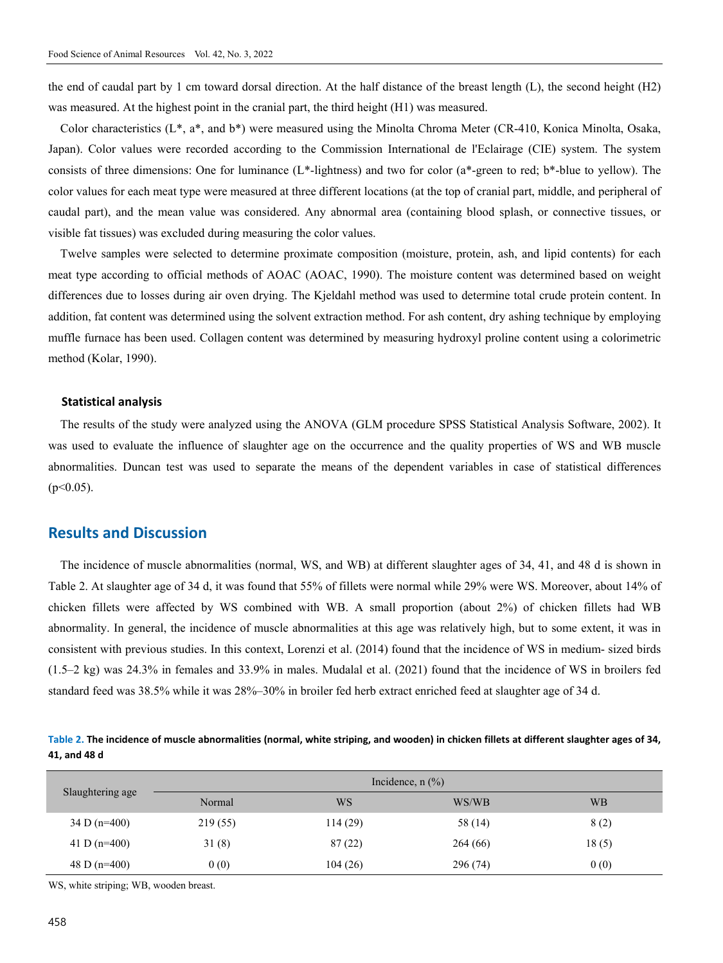the end of caudal part by 1 cm toward dorsal direction. At the half distance of the breast length (L), the second height (H2) was measured. At the highest point in the cranial part, the third height (H1) was measured.

Color characteristics (L\*, a\*, and b\*) were measured using the Minolta Chroma Meter (CR-410, Konica Minolta, Osaka, Japan). Color values were recorded according to the Commission International de l'Eclairage (CIE) system. The system consists of three dimensions: One for luminance (L\*-lightness) and two for color (a\*-green to red; b\*-blue to yellow). The color values for each meat type were measured at three different locations (at the top of cranial part, middle, and peripheral of caudal part), and the mean value was considered. Any abnormal area (containing blood splash, or connective tissues, or visible fat tissues) was excluded during measuring the color values.

Twelve samples were selected to determine proximate composition (moisture, protein, ash, and lipid contents) for each meat type according to official methods of AOAC (AOAC, 1990). The moisture content was determined based on weight differences due to losses during air oven drying. The Kjeldahl method was used to determine total crude protein content. In addition, fat content was determined using the solvent extraction method. For ash content, dry ashing technique by employing muffle furnace has been used. Collagen content was determined by measuring hydroxyl proline content using a colorimetric method (Kolar, 1990).

#### **Statistical analysis**

The results of the study were analyzed using the ANOVA (GLM procedure SPSS Statistical Analysis Software, 2002). It was used to evaluate the influence of slaughter age on the occurrence and the quality properties of WS and WB muscle abnormalities. Duncan test was used to separate the means of the dependent variables in case of statistical differences  $(p<0.05)$ .

## **Results and Discussion**

The incidence of muscle abnormalities (normal, WS, and WB) at different slaughter ages of 34, 41, and 48 d is shown in Table 2. At slaughter age of 34 d, it was found that 55% of fillets were normal while 29% were WS. Moreover, about 14% of chicken fillets were affected by WS combined with WB. A small proportion (about 2%) of chicken fillets had WB abnormality. In general, the incidence of muscle abnormalities at this age was relatively high, but to some extent, it was in consistent with previous studies. In this context, Lorenzi et al. (2014) found that the incidence of WS in medium- sized birds (1.5–2 kg) was 24.3% in females and 33.9% in males. Mudalal et al. (2021) found that the incidence of WS in broilers fed standard feed was 38.5% while it was 28%–30% in broiler fed herb extract enriched feed at slaughter age of 34 d.

**Table 2. The incidence of muscle abnormalities (normal, white striping, and wooden) in chicken fillets at different slaughter ages of 34, 41, and 48 d** 

| Slaughtering age |          | Incidence, $n$ $\left(\frac{\%}{\%}\right)$ |          |           |
|------------------|----------|---------------------------------------------|----------|-----------|
|                  | Normal   | <b>WS</b>                                   | WS/WB    | <b>WB</b> |
| 34 D ( $n=400$ ) | 219 (55) | 114(29)                                     | 58 (14)  | 8(2)      |
| 41 D ( $n=400$ ) | 31(8)    | 87(22)                                      | 264(66)  | 18(5)     |
| 48 D ( $n=400$ ) | 0(0)     | 104(26)                                     | 296 (74) | 0(0)      |

WS, white striping; WB, wooden breast.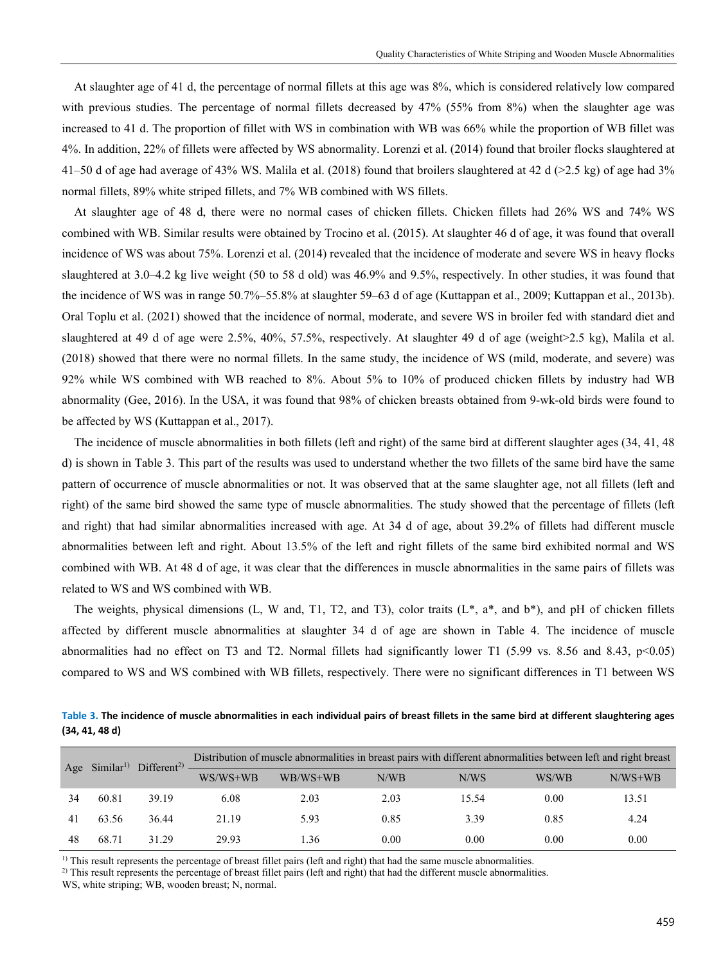At slaughter age of 41 d, the percentage of normal fillets at this age was 8%, which is considered relatively low compared with previous studies. The percentage of normal fillets decreased by 47% (55% from 8%) when the slaughter age was increased to 41 d. The proportion of fillet with WS in combination with WB was 66% while the proportion of WB fillet was 4%. In addition, 22% of fillets were affected by WS abnormality. Lorenzi et al. (2014) found that broiler flocks slaughtered at 41–50 d of age had average of 43% WS. Malila et al. (2018) found that broilers slaughtered at 42 d (>2.5 kg) of age had 3% normal fillets, 89% white striped fillets, and 7% WB combined with WS fillets.

At slaughter age of 48 d, there were no normal cases of chicken fillets. Chicken fillets had 26% WS and 74% WS combined with WB. Similar results were obtained by Trocino et al. (2015). At slaughter 46 d of age, it was found that overall incidence of WS was about 75%. Lorenzi et al. (2014) revealed that the incidence of moderate and severe WS in heavy flocks slaughtered at 3.0–4.2 kg live weight (50 to 58 d old) was 46.9% and 9.5%, respectively. In other studies, it was found that the incidence of WS was in range 50.7%–55.8% at slaughter 59–63 d of age (Kuttappan et al., 2009; Kuttappan et al., 2013b). Oral Toplu et al. (2021) showed that the incidence of normal, moderate, and severe WS in broiler fed with standard diet and slaughtered at 49 d of age were 2.5%, 40%, 57.5%, respectively. At slaughter 49 d of age (weight>2.5 kg), Malila et al. (2018) showed that there were no normal fillets. In the same study, the incidence of WS (mild, moderate, and severe) was 92% while WS combined with WB reached to 8%. About 5% to 10% of produced chicken fillets by industry had WB abnormality (Gee, 2016). In the USA, it was found that 98% of chicken breasts obtained from 9-wk-old birds were found to be affected by WS (Kuttappan et al., 2017).

The incidence of muscle abnormalities in both fillets (left and right) of the same bird at different slaughter ages (34, 41, 48 d) is shown in Table 3. This part of the results was used to understand whether the two fillets of the same bird have the same pattern of occurrence of muscle abnormalities or not. It was observed that at the same slaughter age, not all fillets (left and right) of the same bird showed the same type of muscle abnormalities. The study showed that the percentage of fillets (left and right) that had similar abnormalities increased with age. At 34 d of age, about 39.2% of fillets had different muscle abnormalities between left and right. About 13.5% of the left and right fillets of the same bird exhibited normal and WS combined with WB. At 48 d of age, it was clear that the differences in muscle abnormalities in the same pairs of fillets was related to WS and WS combined with WB.

The weights, physical dimensions (L, W and, T1, T2, and T3), color traits  $(L^*, a^*,$  and  $b^*)$ , and pH of chicken fillets affected by different muscle abnormalities at slaughter 34 d of age are shown in Table 4. The incidence of muscle abnormalities had no effect on T3 and T2. Normal fillets had significantly lower T1 (5.99 vs. 8.56 and 8.43,  $p<0.05$ ) compared to WS and WS combined with WB fillets, respectively. There were no significant differences in T1 between WS

**Table 3. The incidence of muscle abnormalities in each individual pairs of breast fillets in the same bird at different slaughtering ages (34, 41, 48 d)** 

| Age Similar <sup>1)</sup> Different <sup>2)</sup> — |       |       |            | Distribution of muscle abnormalities in breast pairs with different abnormalities between left and right breast |      |       |       |           |
|-----------------------------------------------------|-------|-------|------------|-----------------------------------------------------------------------------------------------------------------|------|-------|-------|-----------|
|                                                     |       |       | $WS/WS+WB$ | WB/WS+WB                                                                                                        | N/WB | N/WS  | WS/WB | $N/WS+WB$ |
| 34                                                  | 60.81 | 39.19 | 6.08       | 2.03                                                                                                            | 2.03 | 15.54 | 0.00  | 13.51     |
| 41                                                  | 63.56 | 36.44 | 21.19      | 5.93                                                                                                            | 0.85 | 3.39  | 0.85  | 4.24      |
| 48                                                  | 68.71 | 31.29 | 29.93      | .36                                                                                                             | 0.00 | 0.00  | 0.00  | 0.00      |

 $<sup>1)</sup>$  This result represents the percentage of breast fillet pairs (left and right) that had the same muscle abnormalities.</sup>

<sup>2)</sup> This result represents the percentage of breast fillet pairs (left and right) that had the different muscle abnormalities.

WS, white striping; WB, wooden breast; N, normal.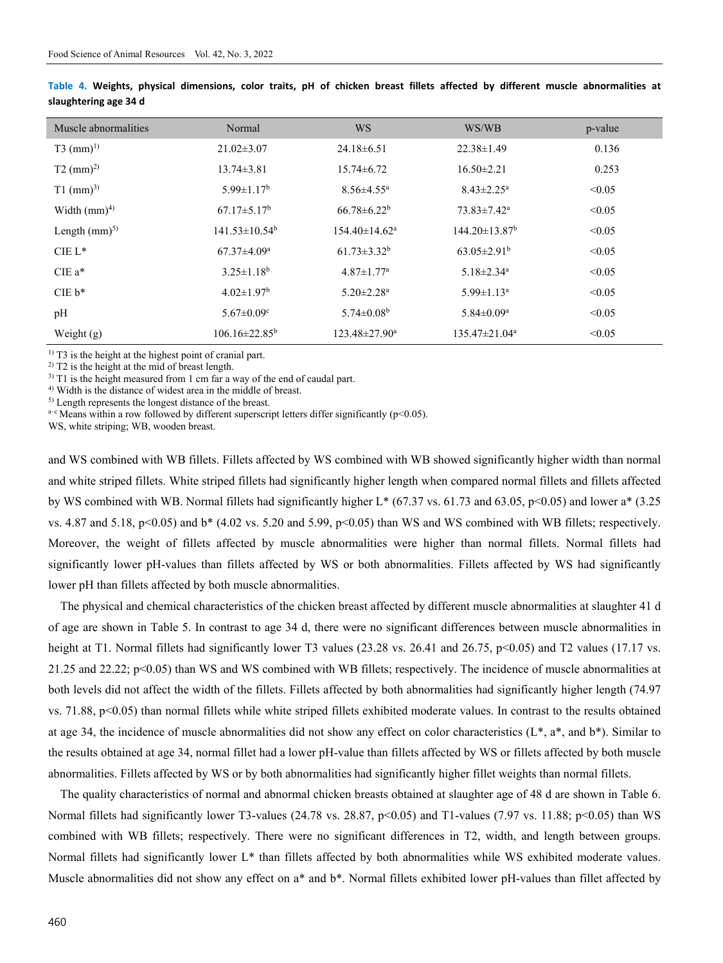| Muscle abnormalities    | Normal                        | <b>WS</b>                       | WS/WB                           | p-value |
|-------------------------|-------------------------------|---------------------------------|---------------------------------|---------|
| $T3$ (mm) <sup>1)</sup> | $21.02 \pm 3.07$              | $24.18 \pm 6.51$                | $22.38 \pm 1.49$                | 0.136   |
| $T2 \ (mm)^{2}$         | $13.74 \pm 3.81$              | $15.74 \pm 6.72$                | $16.50 \pm 2.21$                | 0.253   |
| $T1$ (mm) <sup>3)</sup> | $5.99 \pm 1.17^b$             | $8.56 \pm 4.55$ <sup>a</sup>    | $8.43 \pm 2.25^{\text{a}}$      | < 0.05  |
| Width $(mm)^4$          | $67.17 \pm 5.17^{\rm b}$      | $66.78 \pm 6.22^b$              | $73.83 \pm 7.42^a$              | < 0.05  |
| Length $(mm)^{5}$       | $141.53 \pm 10.54^b$          | $154.40 \pm 14.62$ <sup>a</sup> | $144.20 \pm 13.87$ <sup>b</sup> | < 0.05  |
| $CIE L*$                | $67.37 \pm 4.09^{\mathrm{a}}$ | $61.73 \pm 3.32^b$              | $63.05 \pm 2.91^{\rm b}$        | < 0.05  |
| $CIE$ $a^*$             | $3.25 \pm 1.18^b$             | $4.87 \pm 1.77$ <sup>a</sup>    | $5.18 \pm 2.34$ <sup>a</sup>    | < 0.05  |
| $CIE b*$                | $4.02 \pm 1.97$ <sup>b</sup>  | $5.20 \pm 2.28$ <sup>a</sup>    | $5.99 \pm 1.13$ <sup>a</sup>    | < 0.05  |
| pH                      | $5.67 \pm 0.09$ <sup>c</sup>  | 5.74 $\pm$ 0.08 <sup>b</sup>    | $5.84 \pm 0.09^a$               | < 0.05  |
| Weight $(g)$            | $106.16 \pm 22.85^b$          | $123.48 \pm 27.90^a$            | $135.47 \pm 21.04^a$            | < 0.05  |

**Table 4. Weights, physical dimensions, color traits, pH of chicken breast fillets affected by different muscle abnormalities at slaughtering age 34 d** 

<sup>1)</sup> T3 is the height at the highest point of cranial part.

<sup>2)</sup> T2 is the height at the mid of breast length.

 $3)$  T1 is the height measured from 1 cm far a way of the end of caudal part.

<sup>4)</sup> Width is the distance of widest area in the middle of breast.<sup>5)</sup> Length represents the longest distance of the breast.

 $a-e$  Means within a row followed by different superscript letters differ significantly (p<0.05).

WS, white striping; WB, wooden breast.

and WS combined with WB fillets. Fillets affected by WS combined with WB showed significantly higher width than normal and white striped fillets. White striped fillets had significantly higher length when compared normal fillets and fillets affected by WS combined with WB. Normal fillets had significantly higher L\* (67.37 vs. 61.73 and 63.05, p<0.05) and lower a\* (3.25 vs. 4.87 and 5.18, p<0.05) and b\* (4.02 vs. 5.20 and 5.99, p<0.05) than WS and WS combined with WB fillets; respectively. Moreover, the weight of fillets affected by muscle abnormalities were higher than normal fillets. Normal fillets had significantly lower pH-values than fillets affected by WS or both abnormalities. Fillets affected by WS had significantly lower pH than fillets affected by both muscle abnormalities.

The physical and chemical characteristics of the chicken breast affected by different muscle abnormalities at slaughter 41 d of age are shown in Table 5. In contrast to age 34 d, there were no significant differences between muscle abnormalities in height at T1. Normal fillets had significantly lower T3 values (23.28 vs. 26.41 and 26.75, p<0.05) and T2 values (17.17 vs. 21.25 and 22.22; p<0.05) than WS and WS combined with WB fillets; respectively. The incidence of muscle abnormalities at both levels did not affect the width of the fillets. Fillets affected by both abnormalities had significantly higher length (74.97 vs. 71.88, p<0.05) than normal fillets while white striped fillets exhibited moderate values. In contrast to the results obtained at age 34, the incidence of muscle abnormalities did not show any effect on color characteristics  $(L^*, a^*, and b^*)$ . Similar to the results obtained at age 34, normal fillet had a lower pH-value than fillets affected by WS or fillets affected by both muscle abnormalities. Fillets affected by WS or by both abnormalities had significantly higher fillet weights than normal fillets.

The quality characteristics of normal and abnormal chicken breasts obtained at slaughter age of 48 d are shown in Table 6. Normal fillets had significantly lower T3-values (24.78 vs. 28.87, p<0.05) and T1-values (7.97 vs. 11.88; p<0.05) than WS combined with WB fillets; respectively. There were no significant differences in T2, width, and length between groups. Normal fillets had significantly lower L\* than fillets affected by both abnormalities while WS exhibited moderate values. Muscle abnormalities did not show any effect on a\* and b\*. Normal fillets exhibited lower pH-values than fillet affected by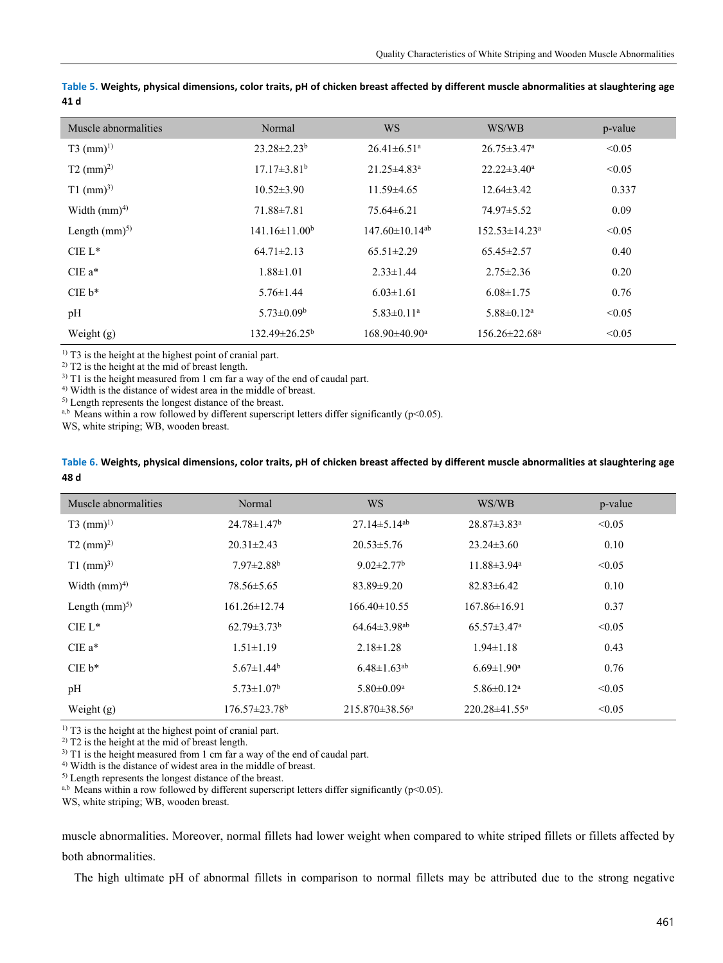| Muscle abnormalities    | Normal                 | <b>WS</b>                        | WS/WB                         | p-value |
|-------------------------|------------------------|----------------------------------|-------------------------------|---------|
| $T3$ (mm) <sup>1)</sup> | $23.28 \pm 2.23^b$     | $26.41 \pm 6.51$ <sup>a</sup>    | $26.75 \pm 3.47^{\mathrm{a}}$ | < 0.05  |
| $T2 \ (mm)^2$           | $17.17\pm3.81^{\rm b}$ | $21.25 \pm 4.83$ <sup>a</sup>    | $22.22 \pm 3.40^a$            | < 0.05  |
| $T1$ (mm) <sup>3)</sup> | $10.52 \pm 3.90$       | $11.59\pm4.65$                   | $12.64\pm3.42$                | 0.337   |
| Width $(mm)^4$          | $71.88 \pm 7.81$       | $75.64 \pm 6.21$                 | 74.97±5.52                    | 0.09    |
| Length $(mm)^{5}$       | $141.16 \pm 11.00^b$   | $147.60 \pm 10.14$ <sup>ab</sup> | $152.53 \pm 14.23^a$          | < 0.05  |
| $CIE L^*$               | $64.71 \pm 2.13$       | $65.51 \pm 2.29$                 | $65.45 \pm 2.57$              | 0.40    |
| $CIEa*$                 | $1.88 \pm 1.01$        | $2.33 \pm 1.44$                  | $2.75 \pm 2.36$               | 0.20    |
| $CIE b*$                | $5.76 \pm 1.44$        | $6.03 \pm 1.61$                  | $6.08 \pm 1.75$               | 0.76    |
| pH                      | $5.73 \pm 0.09^b$      | $5.83 \pm 0.11$ <sup>a</sup>     | $5.88 \pm 0.12^a$             | < 0.05  |
| Weight $(g)$            | $132.49 \pm 26.25^b$   | $168.90\pm40.90^{\mathrm{a}}$    | $156.26 \pm 22.68^{\circ}$    | < 0.05  |

**Table 5. Weights, physical dimensions, color traits, pH of chicken breast affected by different muscle abnormalities at slaughtering age 41 d** 

 $<sup>1)</sup>$  T3 is the height at the highest point of cranial part.</sup>

 $^{2)}$  T2 is the height at the mid of breast length.

 $3)$  T1 is the height measured from 1 cm far a way of the end of caudal part.

4) Width is the distance of widest area in the middle of breast.

5) Length represents the longest distance of the breast.

a,b Means within a row followed by different superscript letters differ significantly ( $p<0.05$ ).

WS, white striping; WB, wooden breast.

#### **Table 6. Weights, physical dimensions, color traits, pH of chicken breast affected by different muscle abnormalities at slaughtering age 48 d**

| Muscle abnormalities    | Normal                          | <b>WS</b>                      | WS/WB                         | p-value |
|-------------------------|---------------------------------|--------------------------------|-------------------------------|---------|
| $T3$ (mm) <sup>1)</sup> | $24.78 \pm 1.47^b$              | $27.14 \pm 5.14$ <sup>ab</sup> | $28.87 \pm 3.83$ <sup>a</sup> | < 0.05  |
| $T2 \ (mm)^{2}$         | $20.31 \pm 2.43$                | $20.53 \pm 5.76$               | $23.24 \pm 3.60$              | 0.10    |
| $T1$ (mm) <sup>3)</sup> | $7.97 \pm 2.88$ <sup>b</sup>    | $9.02 \pm 2.77$ <sup>b</sup>   | $11.88 \pm 3.94$ <sup>a</sup> | < 0.05  |
| Width $(mm)^4$          | $78.56 \pm 5.65$                | $83.89 \pm 9.20$               | $82.83 \pm 6.42$              | 0.10    |
| Length $(mm)^{5}$       | $161.26 \pm 12.74$              | $166.40 \pm 10.55$             | $167.86 \pm 16.91$            | 0.37    |
| $CIE L*$                | $62.79 \pm 3.73^b$              | $64.64 \pm 3.98$ <sup>ab</sup> | $65.57 \pm 3.47$ <sup>a</sup> | < 0.05  |
| $CIEa*$                 | $1.51 \pm 1.19$                 | $2.18 \pm 1.28$                | $1.94 \pm 1.18$               | 0.43    |
| $CIE b*$                | $5.67 \pm 1.44$ <sup>b</sup>    | $6.48 \pm 1.63$ <sup>ab</sup>  | $6.69 \pm 1.90$ <sup>a</sup>  | 0.76    |
| pH                      | $5.73 \pm 1.07^b$               | $5.80 \pm 0.09$ <sup>a</sup>   | $5.86 \pm 0.12$ <sup>a</sup>  | < 0.05  |
| Weight $(g)$            | $176.57 \pm 23.78$ <sup>b</sup> | $215.870 \pm 38.56^a$          | $220.28 \pm 41.55^{\text{a}}$ | < 0.05  |

 $<sup>1)</sup>$  T3 is the height at the highest point of cranial part.</sup>

 $^{2)}$  T2 is the height at the mid of breast length.

 $3)$  T1 is the height measured from 1 cm far a way of the end of caudal part.

4) Width is the distance of widest area in the middle of breast.

5) Length represents the longest distance of the breast.

a,b Means within a row followed by different superscript letters differ significantly ( $p$ <0.05).

WS, white striping; WB, wooden breast.

muscle abnormalities. Moreover, normal fillets had lower weight when compared to white striped fillets or fillets affected by both abnormalities.

The high ultimate pH of abnormal fillets in comparison to normal fillets may be attributed due to the strong negative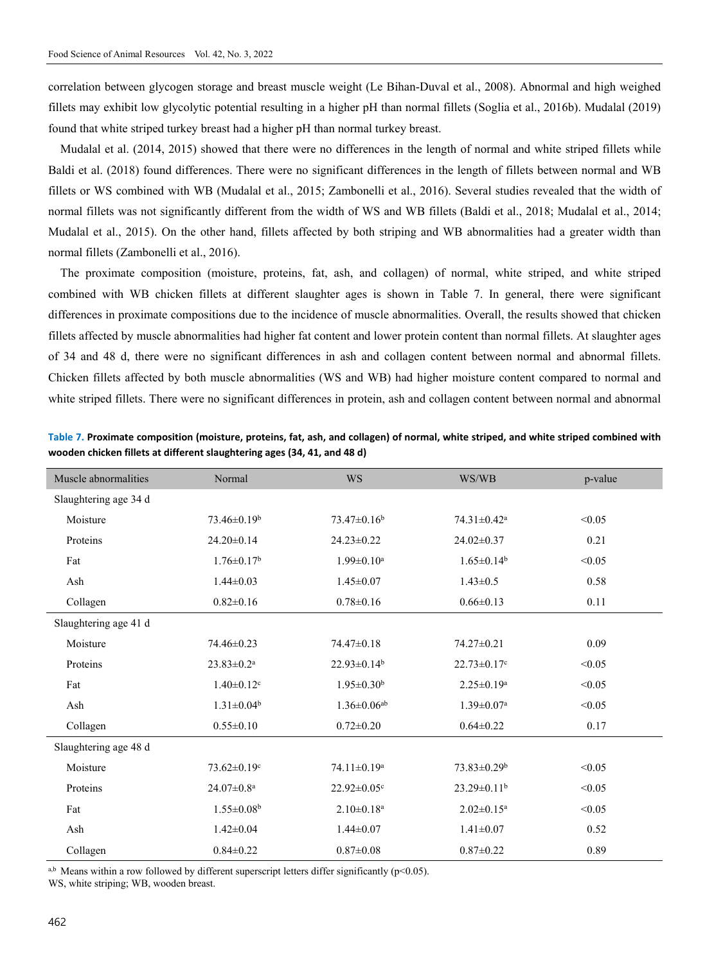correlation between glycogen storage and breast muscle weight (Le Bihan-Duval et al., 2008). Abnormal and high weighed fillets may exhibit low glycolytic potential resulting in a higher pH than normal fillets (Soglia et al., 2016b). Mudalal (2019) found that white striped turkey breast had a higher pH than normal turkey breast.

Mudalal et al. (2014, 2015) showed that there were no differences in the length of normal and white striped fillets while Baldi et al. (2018) found differences. There were no significant differences in the length of fillets between normal and WB fillets or WS combined with WB (Mudalal et al., 2015; Zambonelli et al., 2016). Several studies revealed that the width of normal fillets was not significantly different from the width of WS and WB fillets (Baldi et al., 2018; Mudalal et al., 2014; Mudalal et al., 2015). On the other hand, fillets affected by both striping and WB abnormalities had a greater width than normal fillets (Zambonelli et al., 2016).

The proximate composition (moisture, proteins, fat, ash, and collagen) of normal, white striped, and white striped combined with WB chicken fillets at different slaughter ages is shown in Table 7. In general, there were significant differences in proximate compositions due to the incidence of muscle abnormalities. Overall, the results showed that chicken fillets affected by muscle abnormalities had higher fat content and lower protein content than normal fillets. At slaughter ages of 34 and 48 d, there were no significant differences in ash and collagen content between normal and abnormal fillets. Chicken fillets affected by both muscle abnormalities (WS and WB) had higher moisture content compared to normal and white striped fillets. There were no significant differences in protein, ash and collagen content between normal and abnormal

| Muscle abnormalities  | Normal                        | <b>WS</b>                     | WS/WB                         | p-value |
|-----------------------|-------------------------------|-------------------------------|-------------------------------|---------|
| Slaughtering age 34 d |                               |                               |                               |         |
| Moisture              | $73.46\pm0.19^b$              | $73.47\pm0.16^b$              | 74.31±0.42 <sup>a</sup>       | < 0.05  |
| Proteins              | $24.20 \pm 0.14$              | $24.23 \pm 0.22$              | 24.02±0.37                    | 0.21    |
| Fat                   | $1.76 \pm 0.17^b$             | $1.99 \pm 0.10^a$             | $1.65 \pm 0.14^b$             | < 0.05  |
| Ash                   | $1.44 \pm 0.03$               | $1.45 \pm 0.07$               | $1.43 \pm 0.5$                | 0.58    |
| Collagen              | $0.82 \pm 0.16$               | $0.78 \pm 0.16$               | $0.66 \pm 0.13$               | 0.11    |
| Slaughtering age 41 d |                               |                               |                               |         |
| Moisture              | 74.46±0.23                    | 74.47±0.18                    | 74.27±0.21                    | 0.09    |
| Proteins              | $23.83 \pm 0.2^a$             | $22.93 \pm 0.14^b$            | $22.73 \pm 0.17$ <sup>c</sup> | < 0.05  |
| Fat                   | $1.40 \pm 0.12$ <sup>c</sup>  | $1.95 \pm 0.30^b$             | $2.25 \pm 0.19^a$             | < 0.05  |
| Ash                   | $1.31 \pm 0.04^b$             | $1.36 \pm 0.06$ <sup>ab</sup> | $1.39 \pm 0.07$ <sup>a</sup>  | < 0.05  |
| Collagen              | $0.55 \pm 0.10$               | $0.72 \pm 0.20$               | $0.64 \pm 0.22$               | 0.17    |
| Slaughtering age 48 d |                               |                               |                               |         |
| Moisture              | $73.62 \pm 0.19$ <sup>c</sup> | $74.11 \pm 0.19^a$            | $73.83 \pm 0.29^b$            | < 0.05  |
| Proteins              | $24.07 \pm 0.8$ <sup>a</sup>  | $22.92 \pm 0.05$ <sup>c</sup> | $23.29 \pm 0.11^b$            | < 0.05  |
| Fat                   | $1.55 \pm 0.08^{\rm b}$       | $2.10 \pm 0.18$ <sup>a</sup>  | $2.02 \pm 0.15^a$             | < 0.05  |
| Ash                   | $1.42 \pm 0.04$               | $1.44 \pm 0.07$               | $1.41 \pm 0.07$               | 0.52    |
| Collagen              | $0.84 \pm 0.22$               | $0.87 \pm 0.08$               | $0.87 \pm 0.22$               | 0.89    |

**Table 7. Proximate composition (moisture, proteins, fat, ash, and collagen) of normal, white striped, and white striped combined with wooden chicken fillets at different slaughtering ages (34, 41, and 48 d)** 

a,b Means within a row followed by different superscript letters differ significantly ( $p$ <0.05).

WS, white striping; WB, wooden breast.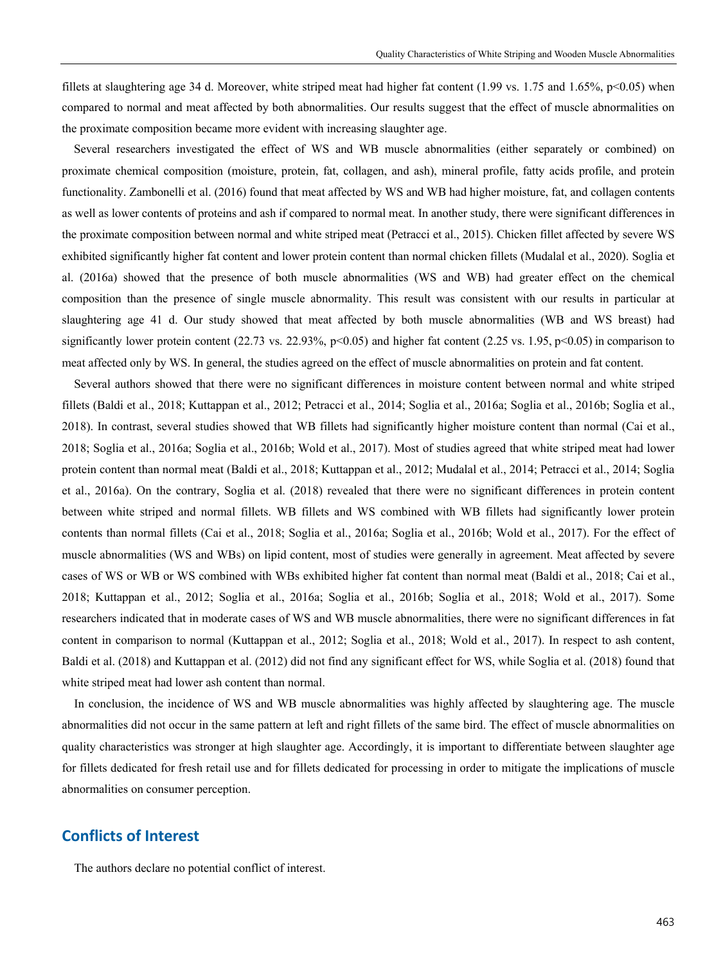fillets at slaughtering age 34 d. Moreover, white striped meat had higher fat content  $(1.99 \text{ vs. } 1.75 \text{ and } 1.65\%, \text{ p} < 0.05)$  when compared to normal and meat affected by both abnormalities. Our results suggest that the effect of muscle abnormalities on the proximate composition became more evident with increasing slaughter age.

Several researchers investigated the effect of WS and WB muscle abnormalities (either separately or combined) on proximate chemical composition (moisture, protein, fat, collagen, and ash), mineral profile, fatty acids profile, and protein functionality. Zambonelli et al. (2016) found that meat affected by WS and WB had higher moisture, fat, and collagen contents as well as lower contents of proteins and ash if compared to normal meat. In another study, there were significant differences in the proximate composition between normal and white striped meat (Petracci et al., 2015). Chicken fillet affected by severe WS exhibited significantly higher fat content and lower protein content than normal chicken fillets (Mudalal et al., 2020). Soglia et al. (2016a) showed that the presence of both muscle abnormalities (WS and WB) had greater effect on the chemical composition than the presence of single muscle abnormality. This result was consistent with our results in particular at slaughtering age 41 d. Our study showed that meat affected by both muscle abnormalities (WB and WS breast) had significantly lower protein content (22.73 vs. 22.93%, p<0.05) and higher fat content (2.25 vs. 1.95, p<0.05) in comparison to meat affected only by WS. In general, the studies agreed on the effect of muscle abnormalities on protein and fat content.

Several authors showed that there were no significant differences in moisture content between normal and white striped fillets (Baldi et al., 2018; Kuttappan et al., 2012; Petracci et al., 2014; Soglia et al., 2016a; Soglia et al., 2016b; Soglia et al., 2018). In contrast, several studies showed that WB fillets had significantly higher moisture content than normal (Cai et al., 2018; Soglia et al., 2016a; Soglia et al., 2016b; Wold et al., 2017). Most of studies agreed that white striped meat had lower protein content than normal meat (Baldi et al., 2018; Kuttappan et al., 2012; Mudalal et al., 2014; Petracci et al., 2014; Soglia et al., 2016a). On the contrary, Soglia et al. (2018) revealed that there were no significant differences in protein content between white striped and normal fillets. WB fillets and WS combined with WB fillets had significantly lower protein contents than normal fillets (Cai et al., 2018; Soglia et al., 2016a; Soglia et al., 2016b; Wold et al., 2017). For the effect of muscle abnormalities (WS and WBs) on lipid content, most of studies were generally in agreement. Meat affected by severe cases of WS or WB or WS combined with WBs exhibited higher fat content than normal meat (Baldi et al., 2018; Cai et al., 2018; Kuttappan et al., 2012; Soglia et al., 2016a; Soglia et al., 2016b; Soglia et al., 2018; Wold et al., 2017). Some researchers indicated that in moderate cases of WS and WB muscle abnormalities, there were no significant differences in fat content in comparison to normal (Kuttappan et al., 2012; Soglia et al., 2018; Wold et al., 2017). In respect to ash content, Baldi et al. (2018) and Kuttappan et al. (2012) did not find any significant effect for WS, while Soglia et al. (2018) found that white striped meat had lower ash content than normal.

In conclusion, the incidence of WS and WB muscle abnormalities was highly affected by slaughtering age. The muscle abnormalities did not occur in the same pattern at left and right fillets of the same bird. The effect of muscle abnormalities on quality characteristics was stronger at high slaughter age. Accordingly, it is important to differentiate between slaughter age for fillets dedicated for fresh retail use and for fillets dedicated for processing in order to mitigate the implications of muscle abnormalities on consumer perception.

## **Conflicts of Interest**

The authors declare no potential conflict of interest.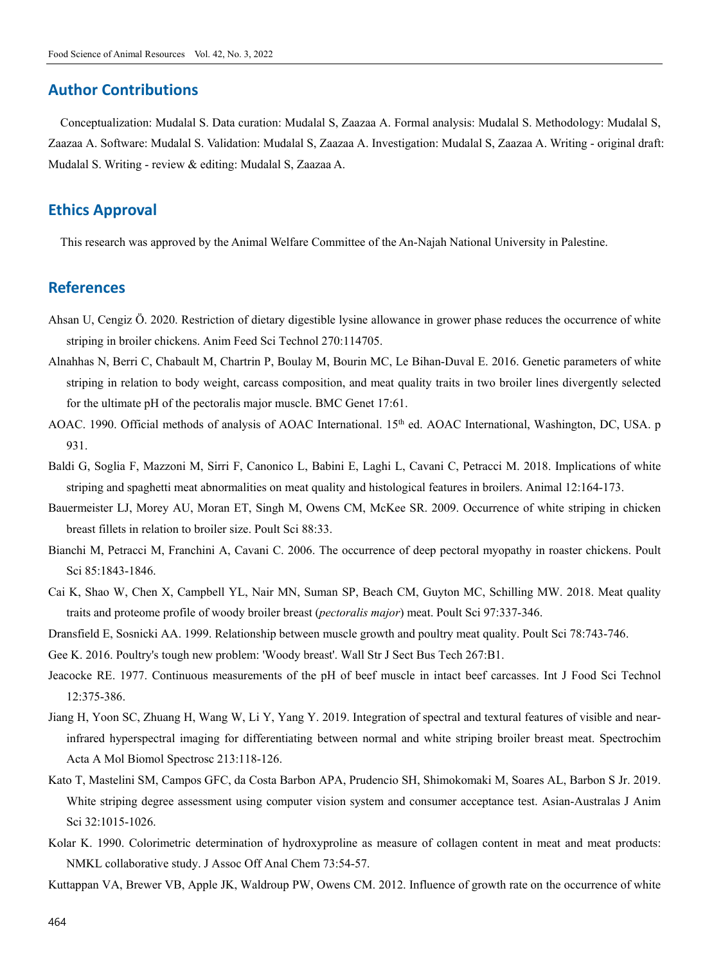## **Author Contributions**

Conceptualization: Mudalal S. Data curation: Mudalal S, Zaazaa A. Formal analysis: Mudalal S. Methodology: Mudalal S, Zaazaa A. Software: Mudalal S. Validation: Mudalal S, Zaazaa A. Investigation: Mudalal S, Zaazaa A. Writing - original draft: Mudalal S. Writing - review & editing: Mudalal S, Zaazaa A.

## **Ethics Approval**

This research was approved by the Animal Welfare Committee of the An-Najah National University in Palestine.

## **References**

- Ahsan U, Cengiz Ӧ. 2020. Restriction of dietary digestible lysine allowance in grower phase reduces the occurrence of white striping in broiler chickens. Anim Feed Sci Technol 270:114705.
- Alnahhas N, Berri C, Chabault M, Chartrin P, Boulay M, Bourin MC, Le Bihan-Duval E. 2016. Genetic parameters of white striping in relation to body weight, carcass composition, and meat quality traits in two broiler lines divergently selected for the ultimate pH of the pectoralis major muscle. BMC Genet 17:61.
- AOAC. 1990. Official methods of analysis of AOAC International. 15<sup>th</sup> ed. AOAC International, Washington, DC, USA. p 931.
- Baldi G, Soglia F, Mazzoni M, Sirri F, Canonico L, Babini E, Laghi L, Cavani C, Petracci M. 2018. Implications of white striping and spaghetti meat abnormalities on meat quality and histological features in broilers. Animal 12:164-173.
- Bauermeister LJ, Morey AU, Moran ET, Singh M, Owens CM, McKee SR. 2009. Occurrence of white striping in chicken breast fillets in relation to broiler size. Poult Sci 88:33.
- Bianchi M, Petracci M, Franchini A, Cavani C. 2006. The occurrence of deep pectoral myopathy in roaster chickens. Poult Sci 85:1843-1846.
- Cai K, Shao W, Chen X, Campbell YL, Nair MN, Suman SP, Beach CM, Guyton MC, Schilling MW. 2018. Meat quality traits and proteome profile of woody broiler breast (*pectoralis major*) meat. Poult Sci 97:337-346.
- Dransfield E, Sosnicki AA. 1999. Relationship between muscle growth and poultry meat quality. Poult Sci 78:743-746.

Gee K. 2016. Poultry's tough new problem: 'Woody breast'. Wall Str J Sect Bus Tech 267:B1.

- Jeacocke RE. 1977. Continuous measurements of the pH of beef muscle in intact beef carcasses. Int J Food Sci Technol 12:375-386.
- Jiang H, Yoon SC, Zhuang H, Wang W, Li Y, Yang Y. 2019. Integration of spectral and textural features of visible and nearinfrared hyperspectral imaging for differentiating between normal and white striping broiler breast meat. Spectrochim Acta A Mol Biomol Spectrosc 213:118-126.
- Kato T, Mastelini SM, Campos GFC, da Costa Barbon APA, Prudencio SH, Shimokomaki M, Soares AL, Barbon S Jr. 2019. White striping degree assessment using computer vision system and consumer acceptance test. Asian-Australas J Anim Sci 32:1015-1026.
- Kolar K. 1990. Colorimetric determination of hydroxyproline as measure of collagen content in meat and meat products: NMKL collaborative study. J Assoc Off Anal Chem 73:54-57.
- Kuttappan VA, Brewer VB, Apple JK, Waldroup PW, Owens CM. 2012. Influence of growth rate on the occurrence of white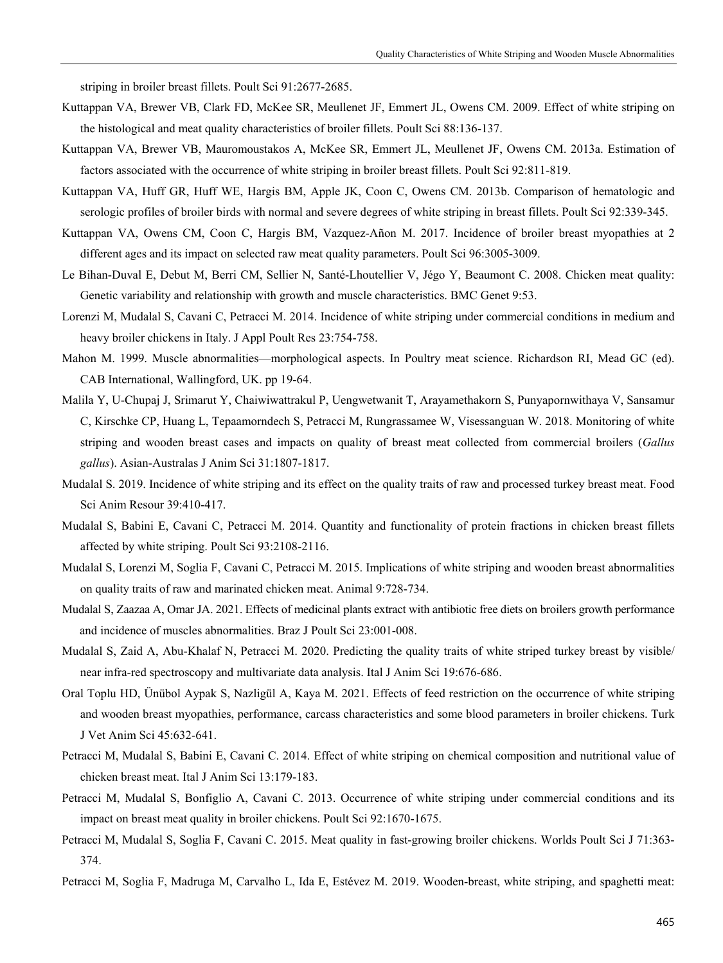striping in broiler breast fillets. Poult Sci 91:2677-2685.

- Kuttappan VA, Brewer VB, Clark FD, McKee SR, Meullenet JF, Emmert JL, Owens CM. 2009. Effect of white striping on the histological and meat quality characteristics of broiler fillets. Poult Sci 88:136-137.
- Kuttappan VA, Brewer VB, Mauromoustakos A, McKee SR, Emmert JL, Meullenet JF, Owens CM. 2013a. Estimation of factors associated with the occurrence of white striping in broiler breast fillets. Poult Sci 92:811-819.
- Kuttappan VA, Huff GR, Huff WE, Hargis BM, Apple JK, Coon C, Owens CM. 2013b. Comparison of hematologic and serologic profiles of broiler birds with normal and severe degrees of white striping in breast fillets. Poult Sci 92:339-345.
- Kuttappan VA, Owens CM, Coon C, Hargis BM, Vazquez-Añon M. 2017. Incidence of broiler breast myopathies at 2 different ages and its impact on selected raw meat quality parameters. Poult Sci 96:3005-3009.
- Le Bihan-Duval E, Debut M, Berri CM, Sellier N, Santé-Lhoutellier V, Jégo Y, Beaumont C. 2008. Chicken meat quality: Genetic variability and relationship with growth and muscle characteristics. BMC Genet 9:53.
- Lorenzi M, Mudalal S, Cavani C, Petracci M. 2014. Incidence of white striping under commercial conditions in medium and heavy broiler chickens in Italy. J Appl Poult Res 23:754-758.
- Mahon M. 1999. Muscle abnormalities—morphological aspects. In Poultry meat science. Richardson RI, Mead GC (ed). CAB International, Wallingford, UK. pp 19-64.
- Malila Y, U-Chupaj J, Srimarut Y, Chaiwiwattrakul P, Uengwetwanit T, Arayamethakorn S, Punyapornwithaya V, Sansamur C, Kirschke CP, Huang L, Tepaamorndech S, Petracci M, Rungrassamee W, Visessanguan W. 2018. Monitoring of white striping and wooden breast cases and impacts on quality of breast meat collected from commercial broilers (*Gallus gallus*). Asian-Australas J Anim Sci 31:1807-1817.
- Mudalal S. 2019. Incidence of white striping and its effect on the quality traits of raw and processed turkey breast meat. Food Sci Anim Resour 39:410-417.
- Mudalal S, Babini E, Cavani C, Petracci M. 2014. Quantity and functionality of protein fractions in chicken breast fillets affected by white striping. Poult Sci 93:2108-2116.
- Mudalal S, Lorenzi M, Soglia F, Cavani C, Petracci M. 2015. Implications of white striping and wooden breast abnormalities on quality traits of raw and marinated chicken meat. Animal 9:728-734.
- Mudalal S, Zaazaa A, Omar JA. 2021. Effects of medicinal plants extract with antibiotic free diets on broilers growth performance and incidence of muscles abnormalities. Braz J Poult Sci 23:001-008.
- Mudalal S, Zaid A, Abu-Khalaf N, Petracci M. 2020. Predicting the quality traits of white striped turkey breast by visible/ near infra-red spectroscopy and multivariate data analysis. Ital J Anim Sci 19:676-686.
- Oral Toplu HD, Ünübol Aypak S, Nazligül A, Kaya M. 2021. Effects of feed restriction on the occurrence of white striping and wooden breast myopathies, performance, carcass characteristics and some blood parameters in broiler chickens. Turk J Vet Anim Sci 45:632-641.
- Petracci M, Mudalal S, Babini E, Cavani C. 2014. Effect of white striping on chemical composition and nutritional value of chicken breast meat. Ital J Anim Sci 13:179-183.
- Petracci M, Mudalal S, Bonfiglio A, Cavani C. 2013. Occurrence of white striping under commercial conditions and its impact on breast meat quality in broiler chickens. Poult Sci 92:1670-1675.
- Petracci M, Mudalal S, Soglia F, Cavani C. 2015. Meat quality in fast-growing broiler chickens. Worlds Poult Sci J 71:363- 374.
- Petracci M, Soglia F, Madruga M, Carvalho L, Ida E, Estévez M. 2019. Wooden-breast, white striping, and spaghetti meat: